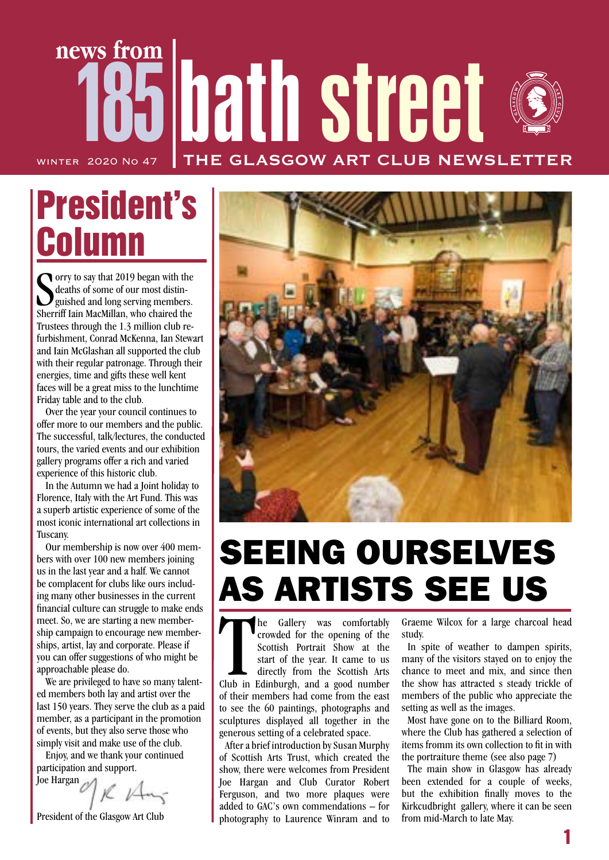## 185 hath street **news from** THE GLASGOW ART CLUB NEWSLET WINTER 2020 No 47

# President's Column

Sorry to say that 2019 began with the<br>deaths of some of our most distinguished and long serving members.<br>Sherriff Iain MacMillan, who chaired the orry to say that 2019 began with the deaths of some of our most distin-Sherriff Iain MacMillan, who chaired the Trustees through the 1.3 million club refurbishment, Conrad McKenna, Ian Stewart and Iain McGlashan all supported the club with their regular patronage. Through their energies, time and gifts these well kent faces will be a great miss to the lunchtime Friday table and to the club.

Over the year your council continues to offer more to our members and the public. The successful, talk/lectures, the conducted tours, the varied events and our exhibition gallery programs offer a rich and varied experience of this historic club.

In the Autumn we had a Joint holiday to Florence, Italy with the Art Fund. This was a superb artistic experience of some of the most iconic international art collections in Tuscany.

Our membership is now over 400 members with over 100 new members joining us in the last year and a half. We cannot be complacent for clubs like ours including many other businesses in the current financial culture can struggle to make ends meet. So, we are starting a new membership campaign to encourage new memberships, artist, lay and corporate. Please if you can offer suggestions of who might be approachable please do.

We are privileged to have so many talented members both lay and artist over the last 150 years. They serve the club as a paid member, as a participant in the promotion of events, but they also serve those who simply visit and make use of the club.

Enjoy, and we thank your continued participation and support. Joe Hargan

President of the Glasgow Art Club



# SEEING OURSELVES AS ARTISTS SEE US

The Gallery was comfortably<br>crowded for the opening of the<br>Scottish Portrait Show at the<br>start of the year. It came to us<br>directly from the Scottish Arts<br>Club in Edinburgh, and a good number he Gallery was comfortably crowded for the opening of the Scottish Portrait Show at the start of the year. It came to us directly from the Scottish Arts of their members had come from the east to see the 60 paintings, photographs and sculptures displayed all together in the generous setting of a celebrated space.

After a brief introduction by Susan Murphy of Scottish Arts Trust, which created the show, there were welcomes from President Joe Hargan and Club Curator Robert Ferguson, and two more plaques were added to GAC's own commendations – for photography to Laurence Winram and to

Graeme Wilcox for a large charcoal head study.

In spite of weather to dampen spirits, many of the visitors stayed on to enjoy the chance to meet and mix, and since then the show has attracted s steady trickle of members of the public who appreciate the setting as well as the images.

Most have gone on to the Billiard Room, where the Club has gathered a selection of items fromm its own collection to fit in with the portraiture theme (see also page 7)

The main show in Glasgow has already been extended for a couple of weeks, but the exhibition finally moves to the Kirkcudbright gallery, where it can be seen from mid-March to late May.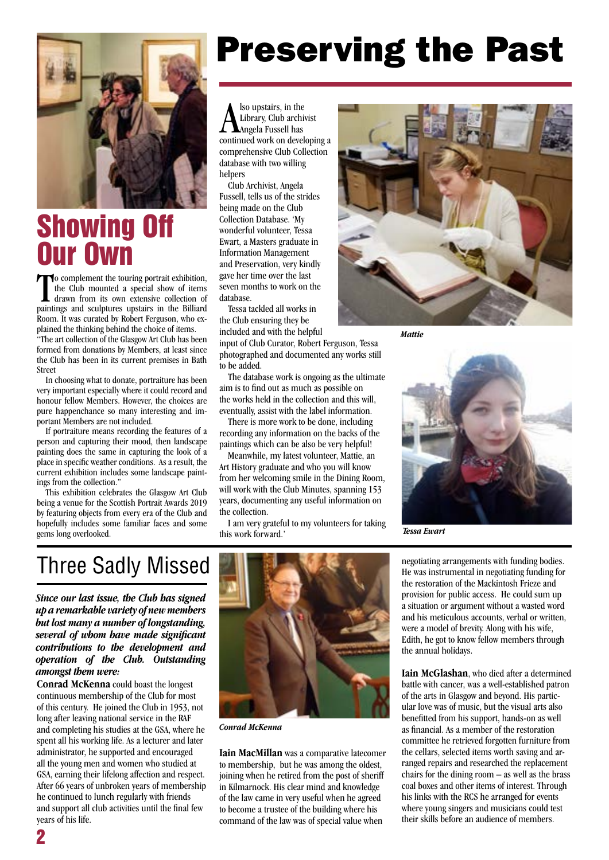

### Showing Off Our Own

To complement the touring portrait exhibition,<br>the Club mounted a special show of items<br>drawn from its own extensive collection of<br>paintings and sculptures upstairs in the Billiard o complement the touring portrait exhibition, the Club mounted a special show of items drawn from its own extensive collection of Room. It was curated by Robert Ferguson, who explained the thinking behind the choice of items.

"The art collection of the Glasgow Art Club has been formed from donations by Members, at least since the Club has been in its current premises in Bath Street

In choosing what to donate, portraiture has been very important especially where it could record and honour fellow Members. However, the choices are pure happenchance so many interesting and important Members are not included.

If portraiture means recording the features of a person and capturing their mood, then landscape painting does the same in capturing the look of a place in specific weather conditions. As a result, the current exhibition includes some landscape paintings from the collection."

This exhibition celebrates the Glasgow Art Club being a venue for the Scottish Portrait Awards 2019 by featuring objects from every era of the Club and hopefully includes some familiar faces and some gems long overlooked.

## Preserving the Past

A lso upstairs, in the<br>Angela Fussell has<br>continued work on developing a lso upstairs, in the Library, Club archivist Angela Fussell has comprehensive Club Collection database with two willing helpers

Club Archivist, Angela Fussell, tells us of the strides being made on the Club Collection Database. 'My wonderful volunteer, Tessa Ewart, a Masters graduate in Information Management and Preservation, very kindly gave her time over the last seven months to work on the database.

Tessa tackled all works in the Club ensuring they be included and with the helpful

input of Club Curator, Robert Ferguson, Tessa photographed and documented any works still to be added.

The database work is ongoing as the ultimate aim is to find out as much as possible on the works held in the collection and this will, eventually, assist with the label information.

There is more work to be done, including recording any information on the backs of the paintings which can be also be very helpful!

Meanwhile, my latest volunteer, Mattie, an Art History graduate and who you will know from her welcoming smile in the Dining Room, will work with the Club Minutes, spanning 153 years, documenting any useful information on the collection.

I am very grateful to my volunteers for taking this work forward.'



*Mattie*



*Tessa Ewart*

### Three Sadly Missed

*Since our last issue, the Club has signed up a remarkable variety of new members but lost many a number of longstanding, several of whom have made significant contributions to the development and operation of the Club. Outstanding amongst them were:*

**Conrad McKenna** could boast the longest continuous membership of the Club for most of this century. He joined the Club in 1953, not long after leaving national service in the RAF and completing his studies at the GSA, where he spent all his working life. As a lecturer and later administrator, he supported and encouraged all the young men and women who studied at GSA, earning their lifelong affection and respect. After 66 years of unbroken years of membership he continued to lunch regularly with friends and support all club activities until the final few years of his life.



*Conrad McKenna*

**Iain MacMillan** was a comparative latecomer to membership, but he was among the oldest, joining when he retired from the post of sheriff in Kilmarnock. His clear mind and knowledge of the law came in very useful when he agreed to become a trustee of the building where his command of the law was of special value when

negotiating arrangements with funding bodies. He was instrumental in negotiating funding for the restoration of the Mackintosh Frieze and provision for public access. He could sum up a situation or argument without a wasted word and his meticulous accounts, verbal or written, were a model of brevity. Along with his wife, Edith, he got to know fellow members through the annual holidays.

**Iain McGlashan**, who died after a determined battle with cancer, was a well-established patron of the arts in Glasgow and beyond. His particular love was of music, but the visual arts also benefitted from his support, hands-on as well as financial. As a member of the restoration committee he retrieved forgotten furniture from the cellars, selected items worth saving and arranged repairs and researched the replacement chairs for the dining room – as well as the brass coal boxes and other items of interest. Through his links with the RCS he arranged for events where young singers and musicians could test their skills before an audience of members.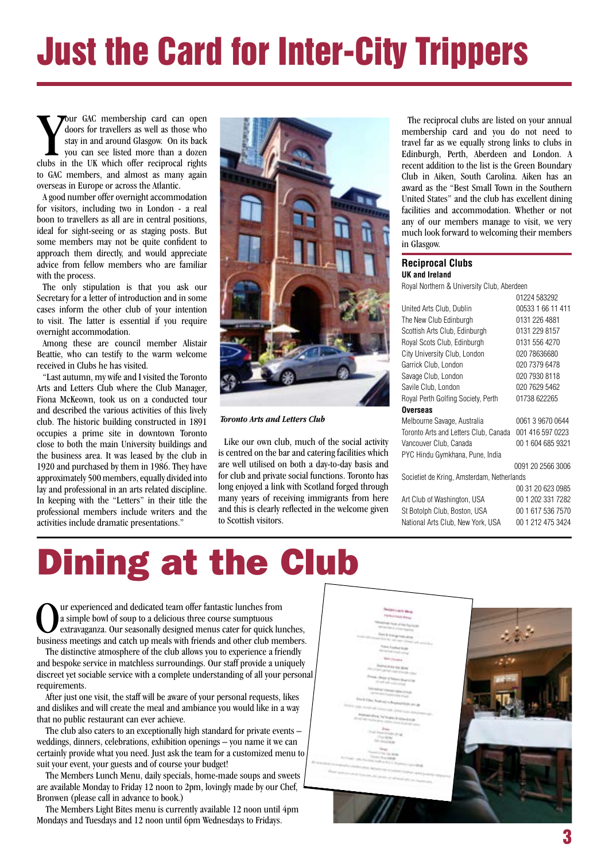# **Just the Card for Inter-City Trippers**

**Example 19 YOUT GAC** membership card can open doors for travellers as well as those who stay in and around Glasgow. On its back you can see listed more than a dozen clubs in the UK which offer reciprocal rights **Tour GAC** membership card can open doors for travellers as well as those who stay in and around Glasgow. On its back you can see listed more than a dozen to GAC members, and almost as many again overseas in Europe or across the Atlantic.

A good number offer overnight accommodation for visitors, including two in London - a real boon to travellers as all are in central positions, ideal for sight-seeing or as staging posts. But some members may not be quite confident to approach them directly, and would appreciate advice from fellow members who are familiar with the process.

The only stipulation is that you ask our Secretary for a letter of introduction and in some cases inform the other club of your intention to visit. The latter is essential if you require overnight accommodation.

Among these are council member Alistair Beattie, who can testify to the warm welcome received in Clubs he has visited.

"Last autumn, my wife and I visited the Toronto Arts and Letters Club where the Club Manager, Fiona McKeown, took us on a conducted tour and described the various activities of this lively club. The historic building constructed in 1891 occupies a prime site in downtown Toronto close to both the main University buildings and the business area. It was leased by the club in 1920 and purchased by them in 1986. They have approximately 500 members, equally divided into lay and professional in an arts related discipline. In keeping with the "Letters" in their title the professional members include writers and the activities include dramatic presentations."



*Toronto Arts and Letters Club*

Like our own club, much of the social activity is centred on the bar and catering facilities which are well utilised on both a day-to-day basis and for club and private social functions. Toronto has long enjoyed a link with Scotland forged through many years of receiving immigrants from here and this is clearly reflected in the welcome given to Scottish visitors.

The reciprocal clubs are listed on your annual membership card and you do not need to travel far as we equally strong links to clubs in Edinburgh, Perth, Aberdeen and London. A recent addition to the list is the Green Boundary Club in Aiken, South Carolina. Aiken has an award as the "Best Small Town in the Southern United States" and the club has excellent dining facilities and accommodation. Whether or not any of our members manage to visit, we very much look forward to welcoming their members in Glasgow.

### ı **Reciprocal Clubs**

**UK and Ireland**

Royal Northern & University Club, Aberdeen  $0122459202$ 

|                                            | <u>UTZZE JUNICJZ</u> |  |  |  |  |  |  |
|--------------------------------------------|----------------------|--|--|--|--|--|--|
| United Arts Club, Dublin                   | 00533 1 66 11 411    |  |  |  |  |  |  |
| The New Club Edinburgh                     | 0131 226 4881        |  |  |  |  |  |  |
| Scottish Arts Club, Edinburgh              | 0131 229 8157        |  |  |  |  |  |  |
| Royal Scots Club, Edinburgh                | 0131 556 4270        |  |  |  |  |  |  |
| City University Club, London               | 020 78636680         |  |  |  |  |  |  |
| Garrick Club, London                       | 020 7379 6478        |  |  |  |  |  |  |
| Savage Club, London                        | 020 7930 8118        |  |  |  |  |  |  |
| Savile Club, London                        | 020 7629 5462        |  |  |  |  |  |  |
| Royal Perth Golfing Society, Perth         | 01738 622265         |  |  |  |  |  |  |
| <b>Overseas</b>                            |                      |  |  |  |  |  |  |
| Melbourne Savage, Australia                | 0061 3 9670 0644     |  |  |  |  |  |  |
| Toronto Arts and Letters Club, Canada      | 001 416 597 0223     |  |  |  |  |  |  |
| Vancouver Club, Canada                     | 00 1 604 685 9321    |  |  |  |  |  |  |
| PYC Hindu Gymkhana, Pune, India            |                      |  |  |  |  |  |  |
|                                            | 0091 20 2566 3006    |  |  |  |  |  |  |
| Societiet de Kring, Amsterdam, Netherlands |                      |  |  |  |  |  |  |
|                                            | 00 31 20 623 0985    |  |  |  |  |  |  |
| Art Club of Washington, USA                | 00 1 202 331 7282    |  |  |  |  |  |  |

| Art Club of Washington, USA       | 00 1 202 331 7282 |
|-----------------------------------|-------------------|
| St Botolph Club, Boston, USA      | 00 1 617 536 7570 |
| National Arts Club, New York, USA | 00 1 212 475 3424 |

# Dining at the Club

Uur experienced and dedicated team offer fantastic lunches from<br>
a simple bowl of soup to a delicious three course sumptuous<br>
extravaganza. Our seasonally designed menus cater for quick lunches,<br>
business meetings and catc a simple bowl of soup to a delicious three course sumptuous business meetings and catch up meals with friends and other club members.

The distinctive atmosphere of the club allows you to experience a friendly and bespoke service in matchless surroundings. Our staff provide a uniquely discreet yet sociable service with a complete understanding of all your personal requirements.

After just one visit, the staff will be aware of your personal requests, likes and dislikes and will create the meal and ambiance you would like in a way that no public restaurant can ever achieve.

The club also caters to an exceptionally high standard for private events – weddings, dinners, celebrations, exhibition openings – you name it we can certainly provide what you need. Just ask the team for a customized menu to suit your event, your guests and of course your budget!

The Members Lunch Menu, daily specials, home-made soups and sweets are available Monday to Friday 12 noon to 2pm, lovingly made by our Chef, Bronwen (please call in advance to book.)

The Members Light Bites menu is currently available 12 noon until 4pm Mondays and Tuesdays and 12 noon until 6pm Wednesdays to Fridays.

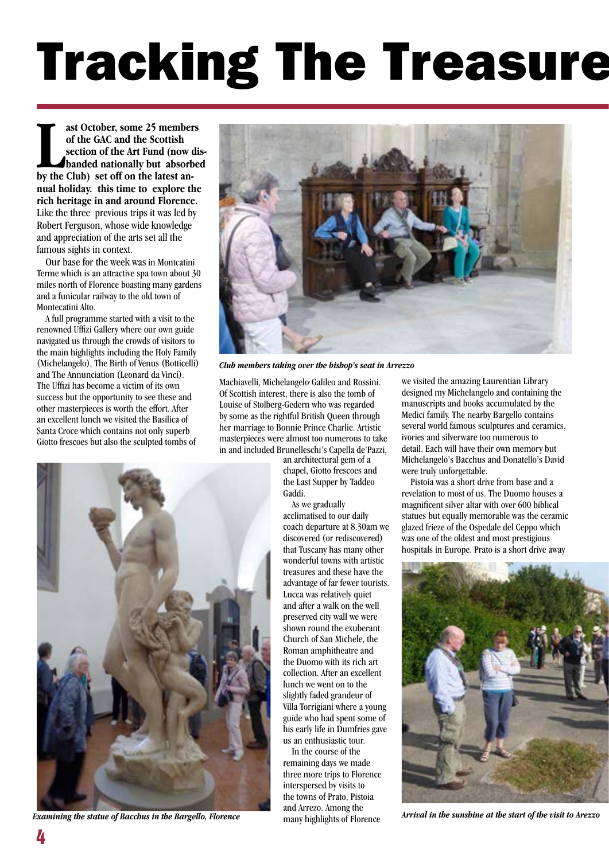# **Tracking The Treasure**

**LACE ASSEM**<br> **LACE SET OF SET OF SET OF SET ON SECTION OF the Art Fund (now a banded nationally but absort<br>
by the Club) set off on the latest anast October, some 25 members of the GAC and the Scottish section of the Art Fund (now disbanded nationally but absorbed nual holiday. this time to explore the rich heritage in and around Florence.** Like the three previous trips it was led by Robert Ferguson, whose wide knowledge and appreciation of the arts set all the famous sights in context.

Our base for the week was in Montcatini Terme which is an attractive spa town about 30 miles north of Florence boasting many gardens and a funicular railway to the old town of Montecatini Alto.

A full programme started with a visit to the renowned Uffizi Gallery where our own guide navigated us through the crowds of visitors to the main highlights including the Holy Family (Michelangelo), The Birth of Venus (Botticelli) and The Annunciation (Leonard da Vinci). The Uffizi has become a victim of its own success but the opportunity to see these and other masterpieces is worth the effort. After an excellent lunch we visited the Basilica of Santa Croce which contains not only superb Giotto frescoes but also the sculpted tombs of



*Club members taking over the bishop's seat in Arrezzo*

Machiavelli, Michelangelo, Galileo and Rossini. Of Scottish interest, there is also the tomb of Louise of Stolberg-Gedern who was regarded by some as the rightful British Queen through her marriage to Bonnie Prince Charlie. Artistic masterpieces were almost too numerous to take in and included Brunelleschi's Capella de'Pazzi,

an architectural gem of a chapel, Giotto frescoes and the Last Supper by Taddeo Gaddi.

As we gradually acclimatised to our daily coach departure at 8.30am we discovered (or rediscovered) that Tuscany has many other wonderful towns with artistic treasures and these have the advantage of far fewer tourists. Lucca was relatively quiet and after a walk on the well preserved city wall we were shown round the exuberant Church of San Michele, the Roman amphitheatre and the Duomo with its rich art collection. After an excellent lunch we went on to the slightly faded grandeur of Villa Torrigiani where a young guide who had spent some of his early life in Dumfries gave us an enthusiastic tour.

In the course of the remaining days we made three more trips to Florence interspersed by visits to the towns of Prato, Pistoia and Arrezo. Among the

we visited the amazing Laurentian Library designed my Michelangelo and containing the manuscripts and books accumulated by the Medici family. The nearby Bargello contains several world famous sculptures and ceramics, ivories and silverware too numerous to detail. Each will have their own memory but Michelangelo's Bacchus and Donatello's David were truly unforgettable.

Pistoia was a short drive from base and a revelation to most of us. The Duomo houses a magnificent silver altar with over 600 biblical statues but equally memorable was the ceramic glazed frieze of the Ospedale del Ceppo which was one of the oldest and most prestigious hospitals in Europe. Prato is a short drive away





**Examining the statue of Bacchus in the Bargello, Florence** *Arrival in the sunshine at the start of the visit to Arezzo*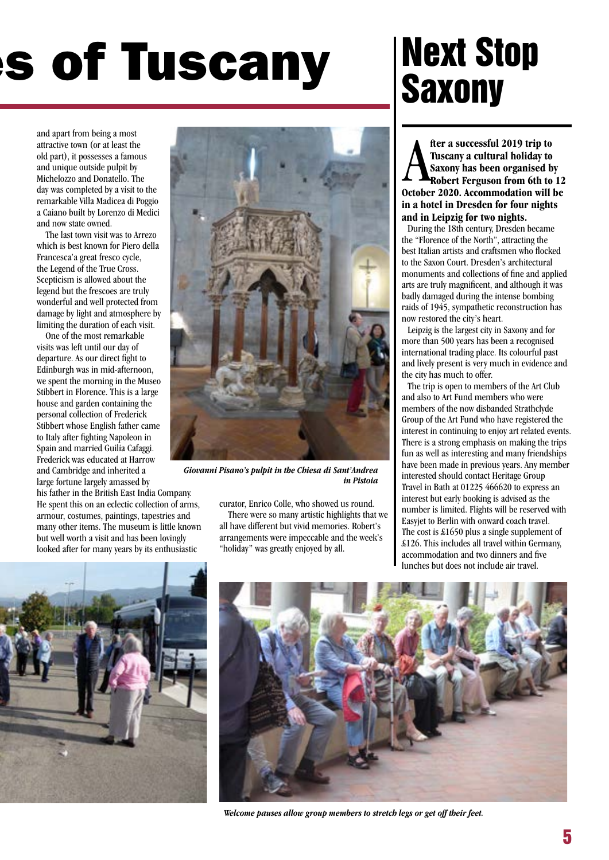# **S of Tuscany**

and apart from being a most attractive town (or at least the old part), it possesses a famous and unique outside pulpit by Michelozzo and Donatello. The day was completed by a visit to the remarkable Villa Madicea di Poggio a Caiano built by Lorenzo di Medici and now state owned.

The last town visit was to Arrezo which is best known for Piero della Francesca'a great fresco cycle, the Legend of the True Cross. Scepticism is allowed about the legend but the frescoes are truly wonderful and well protected from damage by light and atmosphere by limiting the duration of each visit.

One of the most remarkable visits was left until our day of departure. As our direct fight to Edinburgh was in mid-afternoon, we spent the morning in the Museo Stibbert in Florence. This is a large house and garden containing the personal collection of Frederick Stibbert whose English father came to Italy after fighting Napoleon in Spain and married Guilia Cafaggi. Frederick was educated at Harrow and Cambridge and inherited a large fortune largely amassed by

his father in the British East India Company. He spent this on an eclectic collection of arms, armour, costumes, paintings, tapestries and many other items. The museum is little known but well worth a visit and has been lovingly looked after for many years by its enthusiastic



*Giovanni Pisano's pulpit in the Chiesa di Sant'Andrea in Pistoia*

curator, Enrico Colle, who showed us round. There were so many artistic highlights that we all have different but vivid memories. Robert's arrangements were impeccable and the week's "holiday" was greatly enjoyed by all.

# Next Stop **Saxony**

**A** fter a successful 2019 trip to<br>Tuscany a cultural holiday to<br>Saxony has been organised by<br>Robert Ferguson from 6th to 12<br>October 2020. Accommodation will be **fter a successful 2019 trip to Tuscany a cultural holiday to Saxony has been organised by Robert Ferguson from 6th to 12 in a hotel in Dresden for four nights and in Leipzig for two nights.** 

During the 18th century, Dresden became the "Florence of the North", attracting the best Italian artists and craftsmen who flocked to the Saxon Court. Dresden's architectural monuments and collections of fine and applied arts are truly magnificent, and although it was badly damaged during the intense bombing raids of 1945, sympathetic reconstruction has now restored the city's heart.

Leipzig is the largest city in Saxony and for more than 500 years has been a recognised international trading place. Its colourful past and lively present is very much in evidence and the city has much to offer.

The trip is open to members of the Art Club and also to Art Fund members who were members of the now disbanded Strathclyde Group of the Art Fund who have registered the interest in continuing to enjoy art related events. There is a strong emphasis on making the trips fun as well as interesting and many friendships have been made in previous years. Any member interested should contact Heritage Group Travel in Bath at 01225 466620 to express an interest but early booking is advised as the number is limited. Flights will be reserved with Easyjet to Berlin with onward coach travel. The cost is £1650 plus a single supplement of £126. This includes all travel within Germany, accommodation and two dinners and five lunches but does not include air travel.





*Welcome pauses allow group members to stretch legs or get off their feet.*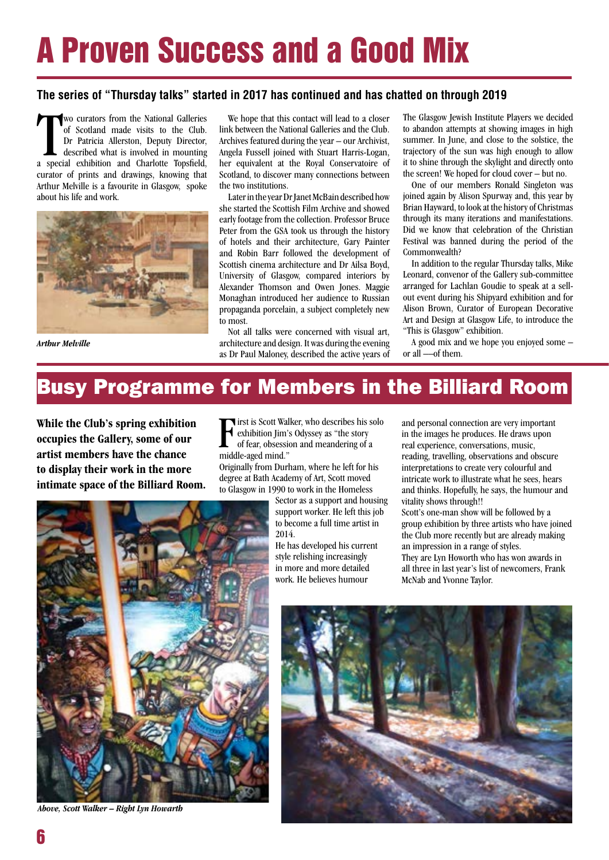# A Proven Success and a Good Mix

### **The series of "Thursday talks" started in 2017 has continued and has chatted on through 2019**

wo curators from the National Galleries<br>of Scotland made visits to the Club.<br>Dr Patricia Allerston, Deputy Director,<br>described what is involved in mounting<br>a special exhibition and Charlotte Topsfield, wo curators from the National Galleries of Scotland made visits to the Club. Dr Patricia Allerston, Deputy Director, described what is involved in mounting curator of prints and drawings, knowing that Arthur Melville is a favourite in Glasgow, spoke about his life and work.



*Arthur Melville*

We hope that this contact will lead to a closer link between the National Galleries and the Club. Archives featured during the year – our Archivist, Angela Fussell joined with Stuart Harris-Logan, her equivalent at the Royal Conservatoire of Scotland, to discover many connections between the two institutions.

Later in the year Dr Janet McBain described how she started the Scottish Film Archive and showed early footage from the collection. Professor Bruce Peter from the GSA took us through the history of hotels and their architecture, Gary Painter and Robin Barr followed the development of Scottish cinema architecture and Dr Ailsa Boyd, University of Glasgow, compared interiors by Alexander Thomson and Owen Jones. Maggie Monaghan introduced her audience to Russian propaganda porcelain, a subject completely new to most.

Not all talks were concerned with visual art, architecture and design. It was during the evening as Dr Paul Maloney, described the active years of

The Glasgow Jewish Institute Players we decided to abandon attempts at showing images in high summer. In June, and close to the solstice, the trajectory of the sun was high enough to allow it to shine through the skylight and directly onto the screen! We hoped for cloud cover – but no.

One of our members Ronald Singleton was joined again by Alison Spurway and, this year by Brian Hayward, to look at the history of Christmas through its many iterations and manifestations. Did we know that celebration of the Christian Festival was banned during the period of the Commonwealth?

In addition to the regular Thursday talks, Mike Leonard, convenor of the Gallery sub-committee arranged for Lachlan Goudie to speak at a sellout event during his Shipyard exhibition and for Alison Brown, Curator of European Decorative Art and Design at Glasgow Life, to introduce the "This is Glasgow" exhibition.

A good mix and we hope you enjoyed some – or all ––of them.

### Busy Programme for Members in the Billiard Room

**While the Club's spring exhibition occupies the Gallery, some of our artist members have the chance to display their work in the more intimate space of the Billiard Room.**  F<br>midd **Tirst is Scott Walker, who describes his solo** exhibition Jim's Odyssey as "the story of fear, obsession and meandering of a middle-aged mind."

Originally from Durham, where he left for his degree at Bath Academy of Art, Scott moved to Glasgow in 1990 to work in the Homeless

> Sector as a support and housing support worker. He left this job to become a full time artist in 2014.

He has developed his current style relishing increasingly in more and more detailed work. He believes humour

and personal connection are very important in the images he produces. He draws upon real experience, conversations, music, reading, travelling, observations and obscure interpretations to create very colourful and intricate work to illustrate what he sees, hears and thinks. Hopefully, he says, the humour and vitality shows through!!

Scott's one-man show will be followed by a group exhibition by three artists who have joined the Club more recently but are already making an impression in a range of styles. They are Lyn Howorth who has won awards in all three in last year's list of newcomers, Frank McNab and Yvonne Taylor.



*Above, Scott Walker – Right Lyn Howarth*

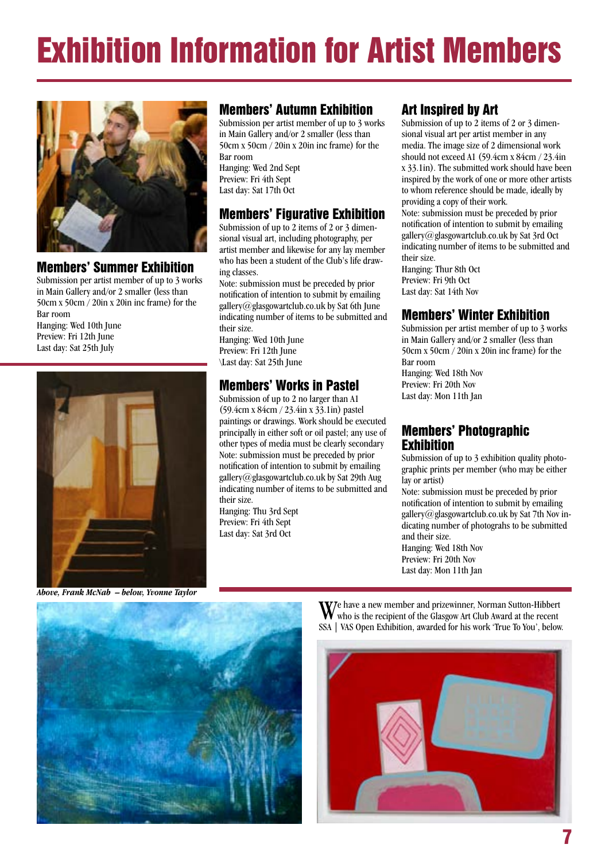# Exhibition Information for Artist Members



### Members' Summer Exhibition

Submission per artist member of up to 3 works in Main Gallery and/or 2 smaller (less than 50cm x 50cm / 20in x 20in inc frame) for the Bar room

Hanging: Wed 10th June Preview: Fri 12th June Last day: Sat 25th July



### Members' Autumn Exhibition

Submission per artist member of up to 3 works in Main Gallery and/or 2 smaller (less than 50cm x 50cm / 20in x 20in inc frame) for the Bar room

Hanging: Wed 2nd Sept Preview: Fri 4th Sept Last day: Sat 17th Oct

### Members' Figurative Exhibition

Submission of up to 2 items of 2 or 3 dimensional visual art, including photography, per artist member and likewise for any lay member who has been a student of the Club's life drawing classes.

Note: submission must be preceded by prior notification of intention to submit by emailing [gallery@glasgowartclub.co.uk](mailto:gallery@glasgowartclub.co.uk) by Sat 6th June indicating number of items to be submitted and their size.

Hanging: Wed 10th June Preview: Fri 12th June \Last day: Sat 25th June

### Members' Works in Pastel

Submission of up to 2 no larger than A1 (59.4cm x 84cm / 23.4in x 33.1in) pastel paintings or drawings. Work should be executed principally in either soft or oil pastel; any use of other types of media must be clearly secondary Note: submission must be preceded by prior notification of intention to submit by emailing [gallery@glasgowartclub.co.uk](mailto:gallery@glasgowartclub.co.uk) by Sat 29th Aug indicating number of items to be submitted and their size.

Hanging: Thu 3rd Sept Preview: Fri 4th Sept Last day: Sat 3rd Oct

### Art Inspired by Art

Submission of up to 2 items of 2 or 3 dimensional visual art per artist member in any media. The image size of 2 dimensional work should not exceed A1 (59.4cm x 84cm / 23.4in x 33.1in). The submitted work should have been inspired by the work of one or more other artists to whom reference should be made, ideally by providing a copy of their work.

Note: submission must be preceded by prior notification of intention to submit by emailing [gallery@glasgowartclub.co.uk](mailto:gallery@glasgowartclub.co.uk) by Sat 3rd Oct indicating number of items to be submitted and their size.

Hanging: Thur 8th Oct Preview: Fri 9th Oct Last day: Sat 14th Nov

### Members' Winter Exhibition

Submission per artist member of up to 3 works in Main Gallery and/or 2 smaller (less than 50cm x 50cm / 20in x 20in inc frame) for the Bar room Hanging: Wed 18th Nov Preview: Fri 20th Nov Last day: Mon 11th Jan

### Members' Photographic **Exhibition**

Submission of up to 3 exhibition quality photographic prints per member (who may be either lay or artist)

Note: submission must be preceded by prior notification of intention to submit by emailing [gallery@glasgowartclub.co.uk](mailto:gallery@glasgowartclub.co.uk) by Sat 7th Nov indicating number of photograhs to be submitted and their size.

Hanging: Wed 18th Nov Preview: Fri 20th Nov Last day: Mon 11th Jan

*Above, Frank McNab – below, Yvonne Taylor*



We have a new member and prizewinner, Norman Sutton-Hibbert who is the recipient of the Glasgow Art Club Award at the recent SSA | VAS Open Exhibition, awarded for his work 'True To You', below.